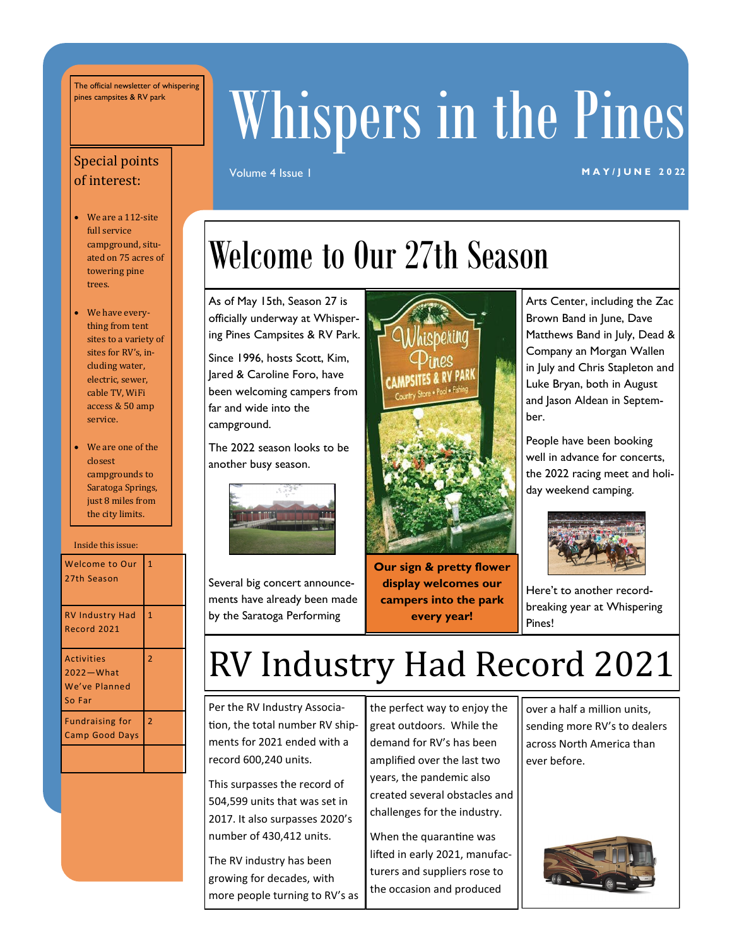The official newsletter of whispering

# pines campsites & RV park Whispers in the Pines

#### Volume 4 Issue 1 **MAY/JUNE 2022**

#### Special points of interest:

- We are a 112-site full service campground, situated on 75 acres of towering pine trees.
- We have everything from tent sites to a variety of sites for RV's, including water, electric, sewer, cable TV, WiFi access & 50 amp service.
- We are one of the closest campgrounds to Saratoga Springs, just 8 miles from the city limits.

Inside this issue:

| <b>Welcome to Our</b><br>27th Season                        | 1              |
|-------------------------------------------------------------|----------------|
| <b>RV Industry Had</b><br>Record 2021                       | $\overline{1}$ |
| <b>Activities</b><br>2022 - What<br>We've Planned<br>So Far | $\overline{2}$ |
| <b>Fundraising for</b><br><b>Camp Good Days</b>             | $\overline{2}$ |
|                                                             |                |

### Welcome to Our 27th Season

As of May 15th, Season 27 is officially underway at Whispering Pines Campsites & RV Park.

Since 1996, hosts Scott, Kim, Jared & Caroline Foro, have been welcoming campers from far and wide into the campground.

The 2022 season looks to be another busy season.



Several big concert announcements have already been made by the Saratoga Performing



**Our sign & pretty flower display welcomes our campers into the park every year!**

Arts Center, including the Zac Brown Band in June, Dave Matthews Band in July, Dead & Company an Morgan Wallen in July and Chris Stapleton and Luke Bryan, both in August and Jason Aldean in September.

People have been booking well in advance for concerts, the 2022 racing meet and holiday weekend camping.



Here't to another recordbreaking year at Whispering Pines!

### RV Industry Had Record 2021

Per the RV Industry Association, the total number RV shipments for 2021 ended with a record 600,240 units.

This surpasses the record of 504,599 units that was set in 2017. It also surpasses 2020's number of 430,412 units.

The RV industry has been growing for decades, with more people turning to RV's as the perfect way to enjoy the great outdoors. While the demand for RV's has been amplified over the last two years, the pandemic also created several obstacles and challenges for the industry.

When the quarantine was lifted in early 2021, manufacturers and suppliers rose to the occasion and produced

over a half a million units, sending more RV's to dealers across North America than ever before.